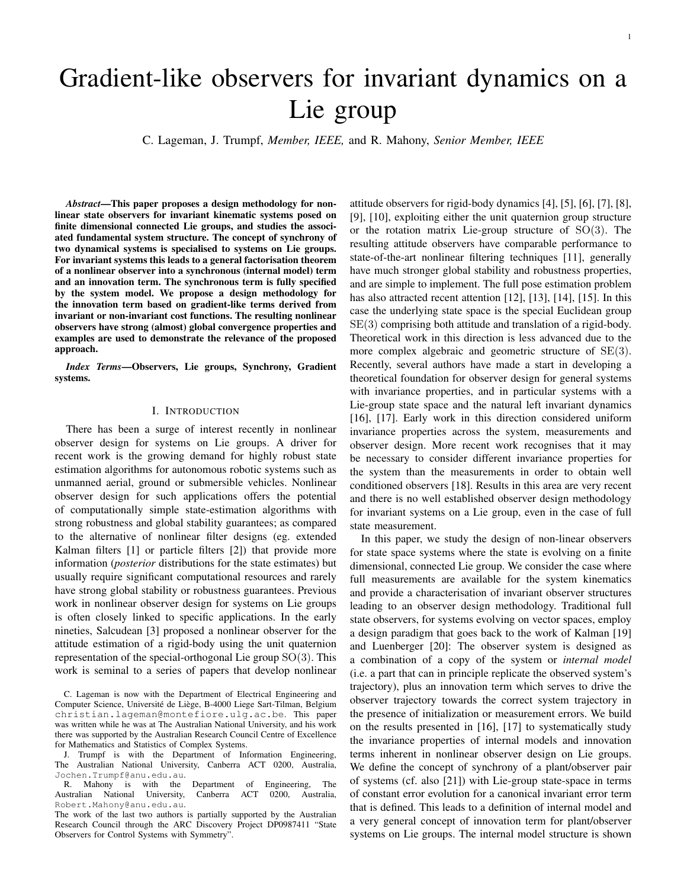# Gradient-like observers for invariant dynamics on a Lie group

C. Lageman, J. Trumpf, *Member, IEEE,* and R. Mahony, *Senior Member, IEEE*

*Abstract*—This paper proposes a design methodology for nonlinear state observers for invariant kinematic systems posed on finite dimensional connected Lie groups, and studies the associated fundamental system structure. The concept of synchrony of two dynamical systems is specialised to systems on Lie groups. For invariant systems this leads to a general factorisation theorem of a nonlinear observer into a synchronous (internal model) term and an innovation term. The synchronous term is fully specified by the system model. We propose a design methodology for the innovation term based on gradient-like terms derived from invariant or non-invariant cost functions. The resulting nonlinear observers have strong (almost) global convergence properties and examples are used to demonstrate the relevance of the proposed approach.

*Index Terms*—Observers, Lie groups, Synchrony, Gradient systems.

## I. INTRODUCTION

There has been a surge of interest recently in nonlinear observer design for systems on Lie groups. A driver for recent work is the growing demand for highly robust state estimation algorithms for autonomous robotic systems such as unmanned aerial, ground or submersible vehicles. Nonlinear observer design for such applications offers the potential of computationally simple state-estimation algorithms with strong robustness and global stability guarantees; as compared to the alternative of nonlinear filter designs (eg. extended Kalman filters [1] or particle filters [2]) that provide more information (*posterior* distributions for the state estimates) but usually require significant computational resources and rarely have strong global stability or robustness guarantees. Previous work in nonlinear observer design for systems on Lie groups is often closely linked to specific applications. In the early nineties, Salcudean [3] proposed a nonlinear observer for the attitude estimation of a rigid-body using the unit quaternion representation of the special-orthogonal Lie group  $SO(3)$ . This work is seminal to a series of papers that develop nonlinear

C. Lageman is now with the Department of Electrical Engineering and Computer Science, Université de Liège, B-4000 Liege Sart-Tilman, Belgium christian.lageman@montefiore.ulg.ac.be. This paper was written while he was at The Australian National University, and his work there was supported by the Australian Research Council Centre of Excellence for Mathematics and Statistics of Complex Systems.

attitude observers for rigid-body dynamics [4], [5], [6], [7], [8], [9], [10], exploiting either the unit quaternion group structure or the rotation matrix Lie-group structure of  $SO(3)$ . The resulting attitude observers have comparable performance to state-of-the-art nonlinear filtering techniques [11], generally have much stronger global stability and robustness properties, and are simple to implement. The full pose estimation problem has also attracted recent attention [12], [13], [14], [15]. In this case the underlying state space is the special Euclidean group SE(3) comprising both attitude and translation of a rigid-body. Theoretical work in this direction is less advanced due to the more complex algebraic and geometric structure of SE(3). Recently, several authors have made a start in developing a theoretical foundation for observer design for general systems with invariance properties, and in particular systems with a Lie-group state space and the natural left invariant dynamics [16], [17]. Early work in this direction considered uniform invariance properties across the system, measurements and observer design. More recent work recognises that it may be necessary to consider different invariance properties for the system than the measurements in order to obtain well conditioned observers [18]. Results in this area are very recent and there is no well established observer design methodology for invariant systems on a Lie group, even in the case of full state measurement.

In this paper, we study the design of non-linear observers for state space systems where the state is evolving on a finite dimensional, connected Lie group. We consider the case where full measurements are available for the system kinematics and provide a characterisation of invariant observer structures leading to an observer design methodology. Traditional full state observers, for systems evolving on vector spaces, employ a design paradigm that goes back to the work of Kalman [19] and Luenberger [20]: The observer system is designed as a combination of a copy of the system or *internal model* (i.e. a part that can in principle replicate the observed system's trajectory), plus an innovation term which serves to drive the observer trajectory towards the correct system trajectory in the presence of initialization or measurement errors. We build on the results presented in [16], [17] to systematically study the invariance properties of internal models and innovation terms inherent in nonlinear observer design on Lie groups. We define the concept of synchrony of a plant/observer pair of systems (cf. also [21]) with Lie-group state-space in terms of constant error evolution for a canonical invariant error term that is defined. This leads to a definition of internal model and a very general concept of innovation term for plant/observer systems on Lie groups. The internal model structure is shown

J. Trumpf is with the Department of Information Engineering, The Australian National University, Canberra ACT 0200, Australia, Jochen.Trumpf@anu.edu.au.

R. Mahony is with the Department of Engineering, The<br>Australian National University, Canberra ACT 0200, Australia, Canberra ACT 0200, Australia, Robert.Mahony@anu.edu.au.

The work of the last two authors is partially supported by the Australian Research Council through the ARC Discovery Project DP0987411 "State Observers for Control Systems with Symmetry".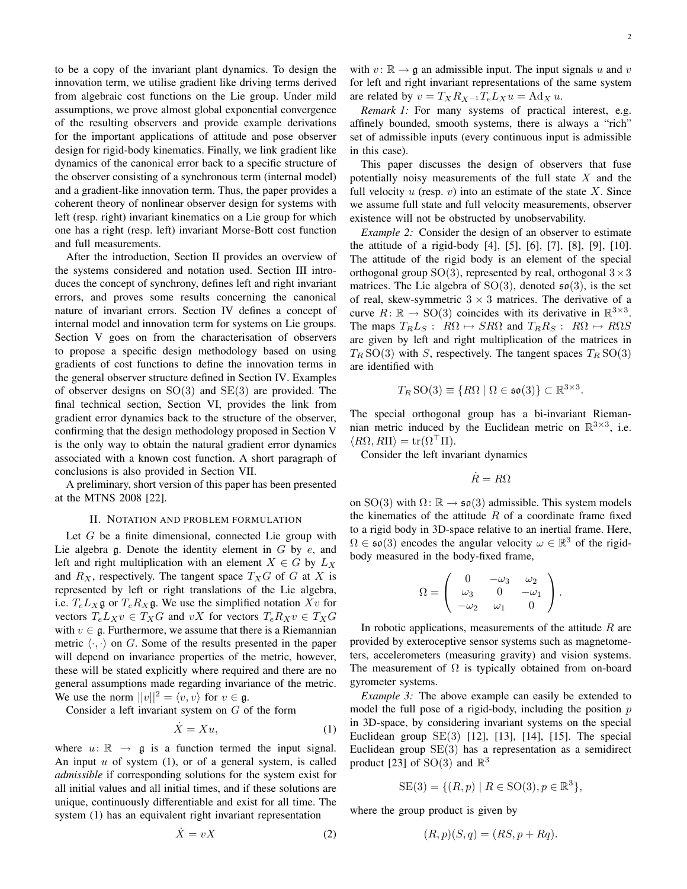to be a copy of the invariant plant dynamics. To design the innovation term, we utilise gradient like driving terms derived from algebraic cost functions on the Lie group. Under mild assumptions, we prove almost global exponential convergence of the resulting observers and provide example derivations for the important applications of attitude and pose observer design for rigid-body kinematics. Finally, we link gradient like dynamics of the canonical error back to a specific structure of the observer consisting of a synchronous term (internal model) and a gradient-like innovation term. Thus, the paper provides a coherent theory of nonlinear observer design for systems with left (resp. right) invariant kinematics on a Lie group for which one has a right (resp. left) invariant Morse-Bott cost function and full measurements.

After the introduction, Section II provides an overview of the systems considered and notation used. Section III introduces the concept of synchrony, defines left and right invariant errors, and proves some results concerning the canonical nature of invariant errors. Section IV defines a concept of internal model and innovation term for systems on Lie groups. Section V goes on from the characterisation of observers to propose a specific design methodology based on using gradients of cost functions to define the innovation terms in the general observer structure defined in Section IV. Examples of observer designs on  $SO(3)$  and  $SE(3)$  are provided. The final technical section, Section VI, provides the link from gradient error dynamics back to the structure of the observer, confirming that the design methodology proposed in Section V is the only way to obtain the natural gradient error dynamics associated with a known cost function. A short paragraph of conclusions is also provided in Section VII.

A preliminary, short version of this paper has been presented at the MTNS 2008 [22].

## II. NOTATION AND PROBLEM FORMULATION

Let  $G$  be a finite dimensional, connected Lie group with Lie algebra  $g$ . Denote the identity element in  $G$  by  $e$ , and left and right multiplication with an element  $X \in G$  by  $L_X$ and  $R_X$ , respectively. The tangent space  $T_XG$  of G at X is represented by left or right translations of the Lie algebra, i.e.  $T_e L_X \mathfrak{g}$  or  $T_e R_X \mathfrak{g}$ . We use the simplified notation  $Xv$  for vectors  $T_eL_Xv \in T_XG$  and vX for vectors  $T_eR_Xv \in T_XG$ with  $v \in \mathfrak{g}$ . Furthermore, we assume that there is a Riemannian metric  $\langle \cdot, \cdot \rangle$  on G. Some of the results presented in the paper will depend on invariance properties of the metric, however, these will be stated explicitly where required and there are no general assumptions made regarding invariance of the metric. We use the norm  $||v||^2 = \langle v, v \rangle$  for  $v \in \mathfrak{g}$ .

Consider a left invariant system on  $G$  of the form

$$
\dot{X} = Xu,\tag{1}
$$

where  $u: \mathbb{R} \to \mathfrak{g}$  is a function termed the input signal. An input  $u$  of system (1), or of a general system, is called *admissible* if corresponding solutions for the system exist for all initial values and all initial times, and if these solutions are unique, continuously differentiable and exist for all time. The system (1) has an equivalent right invariant representation

$$
\dot{X} = vX \tag{2}
$$

with  $v : \mathbb{R} \to \mathfrak{g}$  an admissible input. The input signals u and v for left and right invariant representations of the same system are related by  $v = T_X R_{X^{-1}} T_e L_X u = \text{Ad}_X u$ .

*Remark 1:* For many systems of practical interest, e.g. affinely bounded, smooth systems, there is always a "rich" set of admissible inputs (every continuous input is admissible in this case).

This paper discusses the design of observers that fuse potentially noisy measurements of the full state  $X$  and the full velocity  $u$  (resp.  $v$ ) into an estimate of the state  $X$ . Since we assume full state and full velocity measurements, observer existence will not be obstructed by unobservability.

*Example 2:* Consider the design of an observer to estimate the attitude of a rigid-body [4], [5], [6], [7], [8], [9], [10]. The attitude of the rigid body is an element of the special orthogonal group  $SO(3)$ , represented by real, orthogonal  $3 \times 3$ matrices. The Lie algebra of  $SO(3)$ , denoted  $\mathfrak{so}(3)$ , is the set of real, skew-symmetric  $3 \times 3$  matrices. The derivative of a curve  $R: \mathbb{R} \to SO(3)$  coincides with its derivative in  $\mathbb{R}^{3 \times 3}$ . The maps  $T_R L_S$ :  $R\Omega \mapsto SR\Omega$  and  $T_R R_S$ :  $R\Omega \mapsto R\Omega S$ are given by left and right multiplication of the matrices in  $T_R$  SO(3) with S, respectively. The tangent spaces  $T_R$  SO(3) are identified with

$$
T_R\,\mathrm{SO}(3) \equiv \{R\Omega \mid \Omega \in \mathfrak{so}(3)\} \subset \mathbb{R}^{3 \times 3}.
$$

The special orthogonal group has a bi-invariant Riemannian metric induced by the Euclidean metric on  $\mathbb{R}^{3\times3}$ , i.e.  $\langle R\Omega, R\Pi \rangle = \text{tr}(\Omega^{\dagger} \Pi).$ 

Consider the left invariant dynamics

$$
\dot{R}=R\Omega
$$

on SO(3) with  $\Omega \colon \mathbb{R} \to \mathfrak{so}(3)$  admissible. This system models the kinematics of the attitude  $R$  of a coordinate frame fixed to a rigid body in 3D-space relative to an inertial frame. Here,  $\Omega \in \mathfrak{so}(3)$  encodes the angular velocity  $\omega \in \mathbb{R}^3$  of the rigidbody measured in the body-fixed frame,

$$
\Omega = \left( \begin{array}{ccc} 0 & -\omega_3 & \omega_2 \\ \omega_3 & 0 & -\omega_1 \\ -\omega_2 & \omega_1 & 0 \end{array} \right).
$$

In robotic applications, measurements of the attitude  $R$  are provided by exteroceptive sensor systems such as magnetometers, accelerometers (measuring gravity) and vision systems. The measurement of  $\Omega$  is typically obtained from on-board gyrometer systems.

*Example 3:* The above example can easily be extended to model the full pose of a rigid-body, including the position  $p$ in 3D-space, by considering invariant systems on the special Euclidean group SE(3) [12], [13], [14], [15]. The special Euclidean group  $SE(3)$  has a representation as a semidirect product [23] of SO(3) and  $\mathbb{R}^3$ 

$$
SE(3) = \{ (R, p) \mid R \in SO(3), p \in \mathbb{R}^3 \},
$$

where the group product is given by

$$
(R, p)(S, q) = (RS, p + Rq).
$$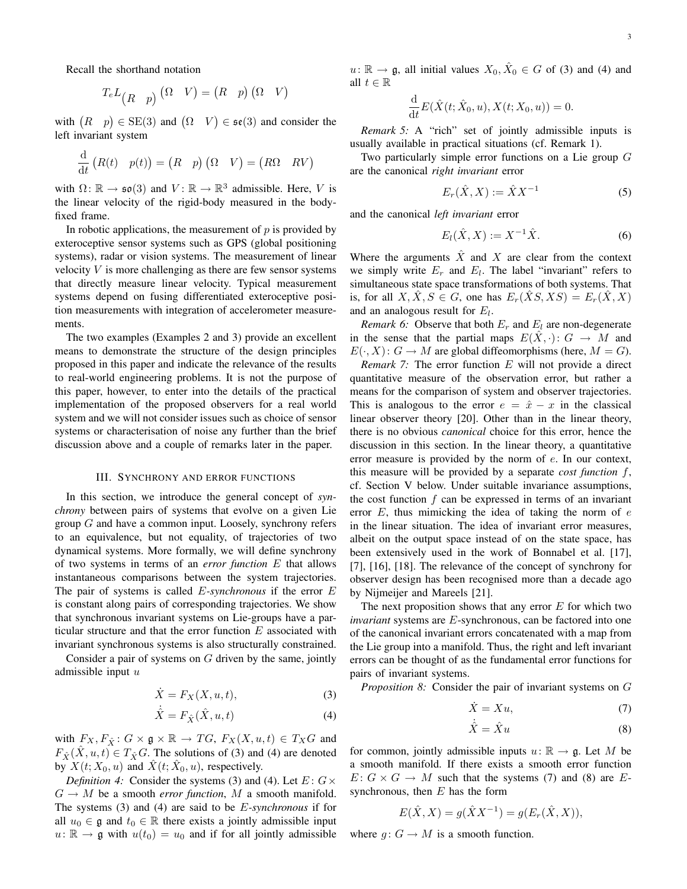Recall the shorthand notation

$$
T_e L_{(R-p)} (\Omega \ V) = (R \ p) (\Omega \ V)
$$

with  $(R \mid p) \in SE(3)$  and  $(\Omega \mid V) \in \mathfrak{se}(3)$  and consider the left invariant system

$$
\frac{\mathrm{d}}{\mathrm{d}t}\begin{pmatrix}R(t)&p(t)\end{pmatrix} = \begin{pmatrix}R&p\end{pmatrix}\begin{pmatrix}\Omega&V\end{pmatrix} = \begin{pmatrix}R\Omega&RV\end{pmatrix}
$$

with  $\Omega: \mathbb{R} \to \mathfrak{so}(3)$  and  $V: \mathbb{R} \to \mathbb{R}^3$  admissible. Here, V is the linear velocity of the rigid-body measured in the bodyfixed frame.

In robotic applications, the measurement of  $p$  is provided by exteroceptive sensor systems such as GPS (global positioning systems), radar or vision systems. The measurement of linear velocity  $V$  is more challenging as there are few sensor systems that directly measure linear velocity. Typical measurement systems depend on fusing differentiated exteroceptive position measurements with integration of accelerometer measurements.

The two examples (Examples 2 and 3) provide an excellent means to demonstrate the structure of the design principles proposed in this paper and indicate the relevance of the results to real-world engineering problems. It is not the purpose of this paper, however, to enter into the details of the practical implementation of the proposed observers for a real world system and we will not consider issues such as choice of sensor systems or characterisation of noise any further than the brief discussion above and a couple of remarks later in the paper.

#### III. SYNCHRONY AND ERROR FUNCTIONS

In this section, we introduce the general concept of *synchrony* between pairs of systems that evolve on a given Lie group  $G$  and have a common input. Loosely, synchrony refers to an equivalence, but not equality, of trajectories of two dynamical systems. More formally, we will define synchrony of two systems in terms of an *error function* E that allows instantaneous comparisons between the system trajectories. The pair of systems is called E*-synchronous* if the error E is constant along pairs of corresponding trajectories. We show that synchronous invariant systems on Lie-groups have a particular structure and that the error function  $E$  associated with invariant synchronous systems is also structurally constrained.

Consider a pair of systems on  $G$  driven by the same, jointly admissible input  $u$ 

$$
\dot{X} = F_X(X, u, t),\tag{3}
$$

$$
\dot{\hat{X}} = F_{\hat{X}}(\hat{X}, u, t)
$$
\n(4)

with  $F_X, F_{\hat{X}}$ :  $G \times \mathfrak{g} \times \mathbb{R} \to TG$ ,  $F_X(X, u, t) \in T_XG$  and  $F_{\hat{X}}(\hat{X}, u, t) \in T_{\hat{X}}G$ . The solutions of (3) and (4) are denoted by  $X(t; X_0, u)$  and  $\hat{X}(t; \hat{X}_0, u)$ , respectively.

*Definition 4:* Consider the systems (3) and (4). Let  $E: G \times$  $G \to M$  be a smooth *error function*, M a smooth manifold. The systems (3) and (4) are said to be E*-synchronous* if for all  $u_0 \in \mathfrak{g}$  and  $t_0 \in \mathbb{R}$  there exists a jointly admissible input  $u: \mathbb{R} \to \mathfrak{g}$  with  $u(t_0) = u_0$  and if for all jointly admissible

 $u: \mathbb{R} \to \mathfrak{g}$ , all initial values  $X_0, \hat{X}_0 \in G$  of (3) and (4) and all  $t \in \mathbb{R}$ 

$$
\frac{\mathrm{d}}{\mathrm{d}t}E(\hat{X}(t;\hat{X}_0,u),X(t;X_0,u))=0.
$$

*Remark 5:* A "rich" set of jointly admissible inputs is usually available in practical situations (cf. Remark 1).

Two particularly simple error functions on a Lie group G are the canonical *right invariant* error

$$
E_r(\hat{X}, X) := \hat{X} X^{-1}
$$
 (5)

and the canonical *left invariant* error

$$
E_l(\hat{X}, X) := X^{-1}\hat{X}.
$$
 (6)

Where the arguments  $\hat{X}$  and X are clear from the context we simply write  $E_r$  and  $E_l$ . The label "invariant" refers to simultaneous state space transformations of both systems. That is, for all  $X, X, S \in G$ , one has  $E_r(XS,XS) = E_r(X,X)$ and an analogous result for  $E_l$ .

*Remark 6:* Observe that both  $E_r$  and  $E_l$  are non-degenerate in the sense that the partial maps  $E(X, \cdot): G \to M$  and  $E(\cdot, X): G \to M$  are global diffeomorphisms (here,  $M = G$ ).

*Remark 7:* The error function E will not provide a direct quantitative measure of the observation error, but rather a means for the comparison of system and observer trajectories. This is analogous to the error  $e = \hat{x} - x$  in the classical linear observer theory [20]. Other than in the linear theory, there is no obvious *canonical* choice for this error, hence the discussion in this section. In the linear theory, a quantitative error measure is provided by the norm of e. In our context, this measure will be provided by a separate *cost function* f, cf. Section V below. Under suitable invariance assumptions, the cost function  $f$  can be expressed in terms of an invariant error  $E$ , thus mimicking the idea of taking the norm of  $e$ in the linear situation. The idea of invariant error measures, albeit on the output space instead of on the state space, has been extensively used in the work of Bonnabel et al. [17], [7], [16], [18]. The relevance of the concept of synchrony for observer design has been recognised more than a decade ago by Nijmeijer and Mareels [21].

The next proposition shows that any error  $E$  for which two *invariant* systems are E-synchronous, can be factored into one of the canonical invariant errors concatenated with a map from the Lie group into a manifold. Thus, the right and left invariant errors can be thought of as the fundamental error functions for pairs of invariant systems.

*Proposition 8:* Consider the pair of invariant systems on G

$$
\dot{X} = Xu,\tag{7}
$$

$$
\dot{\hat{X}} = \hat{X}u\tag{8}
$$

for common, jointly admissible inputs  $u: \mathbb{R} \to \mathfrak{g}$ . Let M be a smooth manifold. If there exists a smooth error function  $E: G \times G \to M$  such that the systems (7) and (8) are Esynchronous, then  $E$  has the form

$$
E(\hat{X}, X) = g(\hat{X}X^{-1}) = g(E_r(\hat{X}, X)),
$$

where  $g: G \to M$  is a smooth function.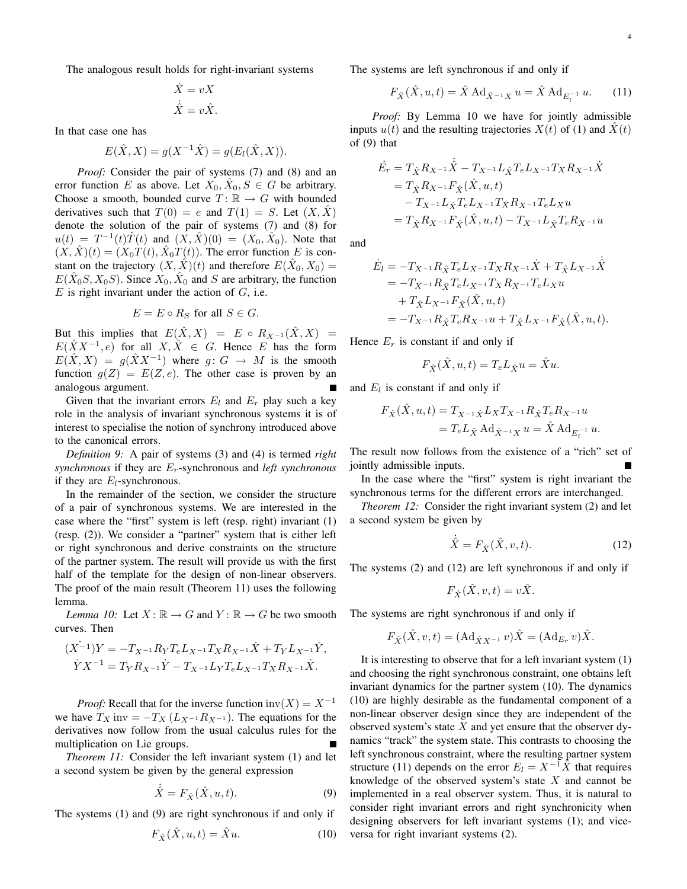The analogous result holds for right-invariant systems

$$
\dot{X} = vX
$$

$$
\dot{\hat{X}} = v\hat{X}.
$$

In that case one has

$$
E(\hat{X}, X) = g(X^{-1}\hat{X}) = g(E_l(\hat{X}, X)).
$$

*Proof:* Consider the pair of systems (7) and (8) and an error function E as above. Let  $X_0, \hat{X}_0, S \in G$  be arbitrary. Choose a smooth, bounded curve  $T: \mathbb{R} \to G$  with bounded derivatives such that  $T(0) = e$  and  $T(1) = S$ . Let  $(X, \hat{X})$ denote the solution of the pair of systems (7) and (8) for  $u(t) = T^{-1}(t)\dot{T}(t)$  and  $(\dot{X}, \dot{X})(0) = (X_0, \dot{X}_0)$ . Note that  $(X, \hat{X})(t) = (X_0 T(t), \hat{X}_0 T(t))$ . The error function E is constant on the trajectory  $(X, \hat{X})(t)$  and therefore  $E(\hat{X}_0, X_0) =$  $E(\hat{X}_0 S, X_0 S)$ . Since  $X_0, \hat{X}_0$  and S are arbitrary, the function  $E$  is right invariant under the action of  $G$ , i.e.

$$
E = E \circ R_S \text{ for all } S \in G.
$$

But this implies that  $E(\hat{X}, X) = E \circ R_{X^{-1}}(\hat{X}, X) =$  $E(\hat{X}X^{-1}, e)$  for all  $X, \hat{X} \in G$ . Hence E has the form  $E(\hat{X},X) = g(\hat{X}X^{-1})$  where  $g: G \to M$  is the smooth function  $g(Z) = E(Z, e)$ . The other case is proven by an analogous argument.

Given that the invariant errors  $E_l$  and  $E_r$  play such a key role in the analysis of invariant synchronous systems it is of interest to specialise the notion of synchrony introduced above to the canonical errors.

*Definition 9:* A pair of systems (3) and (4) is termed *right synchronous* if they are Er-synchronous and *left synchronous* if they are  $E_l$ -synchronous.

In the remainder of the section, we consider the structure of a pair of synchronous systems. We are interested in the case where the "first" system is left (resp. right) invariant (1) (resp. (2)). We consider a "partner" system that is either left or right synchronous and derive constraints on the structure of the partner system. The result will provide us with the first half of the template for the design of non-linear observers. The proof of the main result (Theorem 11) uses the following lemma.

*Lemma 10:* Let  $X : \mathbb{R} \to G$  and  $Y : \mathbb{R} \to G$  be two smooth curves. Then

$$
(X^{-1})Y = -T_{X^{-1}}R_YT_eL_{X^{-1}}T_XR_{X^{-1}}\dot{X} + T_YL_{X^{-1}}\dot{Y},
$$
  
\n
$$
\dot{Y}X^{-1} = T_YR_{X^{-1}}\dot{Y} - T_{X^{-1}}L_YT_eL_{X^{-1}}T_XR_{X^{-1}}\dot{X}.
$$

*Proof:* Recall that for the inverse function  $inv(X) = X^{-1}$ we have  $T_X$  inv =  $-T_X(L_{X^{-1}}R_{X^{-1}})$ . The equations for the derivatives now follow from the usual calculus rules for the multiplication on Lie groups.

*Theorem 11:* Consider the left invariant system (1) and let a second system be given by the general expression

$$
\dot{\hat{X}} = F_{\hat{X}}(\hat{X}, u, t). \tag{9}
$$

The systems (1) and (9) are right synchronous if and only if

$$
F_{\hat{X}}(\hat{X}, u, t) = \hat{X}u.
$$
 (10)

The systems are left synchronous if and only if

$$
F_{\hat{X}}(\hat{X}, u, t) = \hat{X} \operatorname{Ad}_{\hat{X}^{-1}X} u = \hat{X} \operatorname{Ad}_{E_l^{-1}} u. \tag{11}
$$

*Proof:* By Lemma 10 we have for jointly admissible inputs  $u(t)$  and the resulting trajectories  $X(t)$  of (1) and  $\hat{X}(t)$ of (9) that

$$
\begin{aligned} \dot{E_r} & = T_{\hat{X}} R_{X^{-1}} \dot{\hat{X}} - T_{X^{-1}} L_{\hat{X}} T_e L_{X^{-1}} T_X R_{X^{-1}} \dot{X} \\ & = T_{\hat{X}} R_{X^{-1}} F_{\hat{X}} (\hat{X}, u, t) \\ & - T_{X^{-1}} L_{\hat{X}} T_e L_{X^{-1}} T_X R_{X^{-1}} T_e L_X u \\ & = T_{\hat{X}} R_{X^{-1}} F_{\hat{X}} (\hat{X}, u, t) - T_{X^{-1}} L_{\hat{X}} T_e R_{X^{-1}} u \end{aligned}
$$

and

$$
\begin{split} \dot{E}_l &= -T_{X^{-1}} R_{\hat{X}} T_e L_{X^{-1}} T_X R_{X^{-1}} \dot{X} + T_{\hat{X}} L_{X^{-1}} \dot{\hat{X}} \\ &= -T_{X^{-1}} R_{\hat{X}} T_e L_{X^{-1}} T_X R_{X^{-1}} T_e L_X u \\ &\quad + T_{\hat{X}} L_{X^{-1}} F_{\hat{X}} (\hat{X}, u, t) \\ &= -T_{X^{-1}} R_{\hat{X}} T_e R_{X^{-1}} u + T_{\hat{X}} L_{X^{-1}} F_{\hat{X}} (\hat{X}, u, t). \end{split}
$$

Hence  $E_r$  is constant if and only if

$$
F_{\hat{X}}(\hat{X}, u, t) = T_e L_{\hat{X}} u = \hat{X} u.
$$

and  $E_l$  is constant if and only if

$$
F_{\hat{X}}(\hat{X}, u, t) = T_{X^{-1}\hat{X}} L_X T_{X^{-1}} R_{\hat{X}} T_e R_{X^{-1}} u
$$
  
=  $T_e L_{\hat{X}} A d_{\hat{X}^{-1}X} u = \hat{X} A d_{E_l^{-1}} u.$ 

The result now follows from the existence of a "rich" set of jointly admissible inputs.

In the case where the "first" system is right invariant the synchronous terms for the different errors are interchanged.

*Theorem 12:* Consider the right invariant system (2) and let a second system be given by

$$
\dot{\hat{X}} = F_{\hat{X}}(\hat{X}, v, t). \tag{12}
$$

The systems (2) and (12) are left synchronous if and only if

$$
F_{\hat{X}}(\hat{X}, v, t) = v\hat{X}.
$$

The systems are right synchronous if and only if

$$
F_{\hat{X}}(\hat{X}, v, t) = (\mathrm{Ad}_{\hat{X}X^{-1}} v) \hat{X} = (\mathrm{Ad}_{E_r} v) \hat{X}.
$$

It is interesting to observe that for a left invariant system (1) and choosing the right synchronous constraint, one obtains left invariant dynamics for the partner system (10). The dynamics (10) are highly desirable as the fundamental component of a non-linear observer design since they are independent of the observed system's state  $X$  and yet ensure that the observer dynamics "track" the system state. This contrasts to choosing the left synchronous constraint, where the resulting partner system structure (11) depends on the error  $E_l = X^{-1}\hat{X}$  that requires knowledge of the observed system's state  $X$  and cannot be implemented in a real observer system. Thus, it is natural to consider right invariant errors and right synchronicity when designing observers for left invariant systems (1); and viceversa for right invariant systems (2).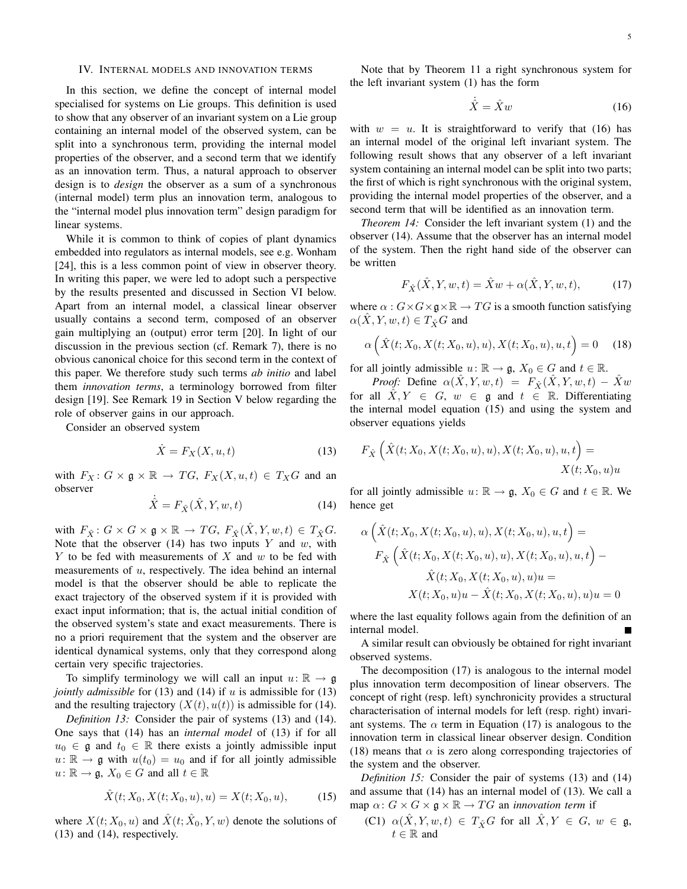## IV. INTERNAL MODELS AND INNOVATION TERMS

In this section, we define the concept of internal model specialised for systems on Lie groups. This definition is used to show that any observer of an invariant system on a Lie group containing an internal model of the observed system, can be split into a synchronous term, providing the internal model properties of the observer, and a second term that we identify as an innovation term. Thus, a natural approach to observer design is to *design* the observer as a sum of a synchronous (internal model) term plus an innovation term, analogous to the "internal model plus innovation term" design paradigm for linear systems.

While it is common to think of copies of plant dynamics embedded into regulators as internal models, see e.g. Wonham [24], this is a less common point of view in observer theory. In writing this paper, we were led to adopt such a perspective by the results presented and discussed in Section VI below. Apart from an internal model, a classical linear observer usually contains a second term, composed of an observer gain multiplying an (output) error term [20]. In light of our discussion in the previous section (cf. Remark 7), there is no obvious canonical choice for this second term in the context of this paper. We therefore study such terms *ab initio* and label them *innovation terms*, a terminology borrowed from filter design [19]. See Remark 19 in Section V below regarding the role of observer gains in our approach.

Consider an observed system

$$
\dot{X} = F_X(X, u, t) \tag{13}
$$

with  $F_X: G \times \mathfrak{g} \times \mathbb{R} \to TG$ ,  $F_X(X, u, t) \in T_XG$  and an observer

$$
\dot{\hat{X}} = F_{\hat{X}}(\hat{X}, Y, w, t)
$$
\n(14)

with  $F_{\hat{X}}$ :  $G \times G \times \mathfrak{g} \times \mathbb{R} \to TG$ ,  $F_{\hat{X}}(\hat{X}, Y, w, t) \in T_{\hat{X}}G$ . Note that the observer  $(14)$  has two inputs Y and w, with Y to be fed with measurements of X and  $w$  to be fed with measurements of u, respectively. The idea behind an internal model is that the observer should be able to replicate the exact trajectory of the observed system if it is provided with exact input information; that is, the actual initial condition of the observed system's state and exact measurements. There is no a priori requirement that the system and the observer are identical dynamical systems, only that they correspond along certain very specific trajectories.

To simplify terminology we will call an input  $u: \mathbb{R} \to \mathfrak{g}$ *jointly admissible* for (13) and (14) if u is admissible for (13) and the resulting trajectory  $(X(t), u(t))$  is admissible for (14).

*Definition 13:* Consider the pair of systems (13) and (14). One says that (14) has an *internal model* of (13) if for all  $u_0 \in \mathfrak{g}$  and  $t_0 \in \mathbb{R}$  there exists a jointly admissible input  $u: \mathbb{R} \to \mathfrak{g}$  with  $u(t_0) = u_0$  and if for all jointly admissible  $u: \mathbb{R} \to \mathfrak{g}, X_0 \in G$  and all  $t \in \mathbb{R}$ 

$$
\hat{X}(t; X_0, X(t; X_0, u), u) = X(t; X_0, u), \tag{15}
$$

where  $X(t; X_0, u)$  and  $\hat{X}(t; \hat{X}_0, Y, w)$  denote the solutions of (13) and (14), respectively.

Note that by Theorem 11 a right synchronous system for the left invariant system (1) has the form

$$
\dot{\hat{X}} = \hat{X}w\tag{16}
$$

with  $w = u$ . It is straightforward to verify that (16) has an internal model of the original left invariant system. The following result shows that any observer of a left invariant system containing an internal model can be split into two parts; the first of which is right synchronous with the original system, providing the internal model properties of the observer, and a second term that will be identified as an innovation term.

*Theorem 14:* Consider the left invariant system (1) and the observer (14). Assume that the observer has an internal model of the system. Then the right hand side of the observer can be written

$$
F_{\hat{X}}(\hat{X}, Y, w, t) = \hat{X}w + \alpha(\hat{X}, Y, w, t), \quad (17)
$$

where  $\alpha$  :  $G \times G \times g \times \mathbb{R} \to TG$  is a smooth function satisfying  $\alpha(\hat{X}, Y, w, t) \in T_{\hat{X}}G$  and

$$
\alpha\left(\hat{X}(t;X_0,X(t;X_0,u),u),X(t;X_0,u),u,t\right) = 0 \quad (18)
$$

for all jointly admissible  $u: \mathbb{R} \to \mathfrak{g}, X_0 \in G$  and  $t \in \mathbb{R}$ .

*Proof:* Define  $\alpha(X, Y, w, t) = F_{\hat{X}}(X, Y, w, t) - \hat{X}w$ for all  $\hat{X}, Y \in G$ ,  $w \in \mathfrak{g}$  and  $t \in \mathbb{R}$ . Differentiating the internal model equation (15) and using the system and observer equations yields

$$
F_{\hat{X}}\left(\hat{X}(t;X_0,X(t;X_0,u),u),X(t;X_0,u),u,t\right) = X(t;X_0,u)u
$$

for all jointly admissible  $u: \mathbb{R} \to \mathfrak{g}, X_0 \in G$  and  $t \in \mathbb{R}$ . We hence get

$$
\alpha \left( \hat{X}(t; X_0, X(t; X_0, u), u), X(t; X_0, u), u, t \right) =
$$
  
\n
$$
F_{\hat{X}} \left( \hat{X}(t; X_0, X(t; X_0, u), u), X(t; X_0, u), u, t \right) -
$$
  
\n
$$
\hat{X}(t; X_0, X(t; X_0, u), u)u =
$$
  
\n
$$
X(t; X_0, u)u - \hat{X}(t; X_0, X(t; X_0, u), u)u = 0
$$

where the last equality follows again from the definition of an internal model.

A similar result can obviously be obtained for right invariant observed systems.

The decomposition (17) is analogous to the internal model plus innovation term decomposition of linear observers. The concept of right (resp. left) synchronicity provides a structural characterisation of internal models for left (resp. right) invariant systems. The  $\alpha$  term in Equation (17) is analogous to the innovation term in classical linear observer design. Condition (18) means that  $\alpha$  is zero along corresponding trajectories of the system and the observer.

*Definition 15:* Consider the pair of systems (13) and (14) and assume that (14) has an internal model of (13). We call a map  $\alpha$ :  $G \times G \times \mathfrak{g} \times \mathbb{R} \to TG$  an *innovation term* if

(C1)  $\alpha(\hat{X}, Y, w, t) \in T_{\hat{X}}G$  for all  $\hat{X}, Y \in G$ ,  $w \in \mathfrak{g}$ ,  $t \in \mathbb{R}$  and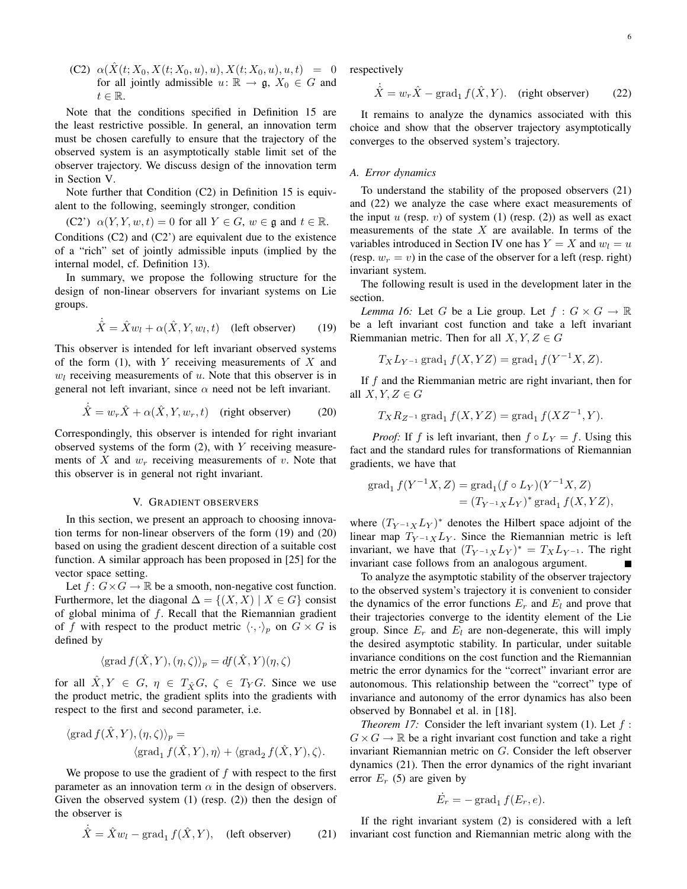(C2)  $\alpha(\hat{X}(t; X_0, X(t; X_0, u), u), X(t; X_0, u), u, t) = 0$ for all jointly admissible  $u: \mathbb{R} \to \mathfrak{g}, X_0 \in G$  and  $t \in \mathbb{R}$ .

Note that the conditions specified in Definition 15 are the least restrictive possible. In general, an innovation term must be chosen carefully to ensure that the trajectory of the observed system is an asymptotically stable limit set of the observer trajectory. We discuss design of the innovation term in Section V.

Note further that Condition (C2) in Definition 15 is equivalent to the following, seemingly stronger, condition

(C2')  $\alpha(Y, Y, w, t) = 0$  for all  $Y \in G$ ,  $w \in \mathfrak{g}$  and  $t \in \mathbb{R}$ . Conditions  $(C2)$  and  $(C2)$  are equivalent due to the existence of a "rich" set of jointly admissible inputs (implied by the internal model, cf. Definition 13).

In summary, we propose the following structure for the design of non-linear observers for invariant systems on Lie groups.

$$
\dot{\hat{X}} = \hat{X}w_l + \alpha(\hat{X}, Y, w_l, t)
$$
 (left observer) (19)

This observer is intended for left invariant observed systems of the form  $(1)$ , with Y receiving measurements of X and  $w_l$  receiving measurements of  $u$ . Note that this observer is in general not left invariant, since  $\alpha$  need not be left invariant.

$$
\dot{\hat{X}} = w_r \hat{X} + \alpha(\hat{X}, Y, w_r, t) \quad \text{(right observer)} \tag{20}
$$

Correspondingly, this observer is intended for right invariant observed systems of the form  $(2)$ , with Y receiving measurements of X and  $w_r$  receiving measurements of v. Note that this observer is in general not right invariant.

## V. GRADIENT OBSERVERS

In this section, we present an approach to choosing innovation terms for non-linear observers of the form (19) and (20) based on using the gradient descent direction of a suitable cost function. A similar approach has been proposed in [25] for the vector space setting.

Let  $f: G \times G \to \mathbb{R}$  be a smooth, non-negative cost function. Furthermore, let the diagonal  $\Delta = \{(X, X) | X \in G\}$  consist of global minima of  $f$ . Recall that the Riemannian gradient of f with respect to the product metric  $\langle \cdot, \cdot \rangle_p$  on  $G \times G$  is defined by

$$
\langle \operatorname{grad} f(\hat{X},Y),(\eta,\zeta)\rangle_p = df(\hat{X},Y)(\eta,\zeta)
$$

for all  $\hat{X}, Y \in G$ ,  $\eta \in T_{\hat{X}}G$ ,  $\zeta \in T_Y G$ . Since we use the product metric, the gradient splits into the gradients with respect to the first and second parameter, i.e.

$$
\langle \operatorname{grad} f(\hat{X}, Y), (\eta, \zeta) \rangle_p =
$$
  
 
$$
\langle \operatorname{grad}_1 f(\hat{X}, Y), \eta \rangle + \langle \operatorname{grad}_2 f(\hat{X}, Y), \zeta \rangle.
$$

We propose to use the gradient of  $f$  with respect to the first parameter as an innovation term  $\alpha$  in the design of observers. Given the observed system (1) (resp. (2)) then the design of the observer is

$$
\dot{\hat{X}} = \hat{X}w_l - \text{grad}_1 f(\hat{X}, Y), \quad \text{(left observer)} \tag{21}
$$

respectively

$$
\dot{\hat{X}} = w_r \hat{X} - \text{grad}_1 f(\hat{X}, Y). \quad \text{(right observer)} \tag{22}
$$

It remains to analyze the dynamics associated with this choice and show that the observer trajectory asymptotically converges to the observed system's trajectory.

## *A. Error dynamics*

To understand the stability of the proposed observers (21) and (22) we analyze the case where exact measurements of the input  $u$  (resp.  $v$ ) of system (1) (resp. (2)) as well as exact measurements of the state  $X$  are available. In terms of the variables introduced in Section IV one has  $Y = X$  and  $w_l = u$ (resp.  $w_r = v$ ) in the case of the observer for a left (resp. right) invariant system.

The following result is used in the development later in the section.

*Lemma 16:* Let G be a Lie group. Let  $f: G \times G \to \mathbb{R}$ be a left invariant cost function and take a left invariant Riemmanian metric. Then for all  $X, Y, Z \in G$ 

$$
T_X L_{Y^{-1}}
$$
 grad<sub>1</sub>  $f(X, YZ) = \text{grad}_1 f(Y^{-1}X, Z).$ 

If  $f$  and the Riemmanian metric are right invariant, then for all  $X, Y, Z \in G$ 

$$
T_X R_{Z^{-1}} \operatorname{grad}_1 f(X, YZ) = \operatorname{grad}_1 f(XZ^{-1}, Y).
$$

*Proof:* If f is left invariant, then  $f \circ L_Y = f$ . Using this fact and the standard rules for transformations of Riemannian gradients, we have that

grad<sub>1</sub> 
$$
f(Y^{-1}X, Z) = \text{grad}_1(f \circ L_Y)(Y^{-1}X, Z)
$$
  
=  $(T_{Y^{-1}X}L_Y)^* \text{grad}_1 f(X, YZ),$ 

where  $(T_{Y^{-1}X}L_Y)^*$  denotes the Hilbert space adjoint of the linear map  $T_{Y^{-1}X}L_Y$ . Since the Riemannian metric is left invariant, we have that  $(T_{Y^{-1}X}L_Y)^* = T_X L_{Y^{-1}}$ . The right invariant case follows from an analogous argument.

To analyze the asymptotic stability of the observer trajectory to the observed system's trajectory it is convenient to consider the dynamics of the error functions  $E_r$  and  $E_l$  and prove that their trajectories converge to the identity element of the Lie group. Since  $E_r$  and  $E_l$  are non-degenerate, this will imply the desired asymptotic stability. In particular, under suitable invariance conditions on the cost function and the Riemannian metric the error dynamics for the "correct" invariant error are autonomous. This relationship between the "correct" type of invariance and autonomy of the error dynamics has also been observed by Bonnabel et al. in [18].

*Theorem 17:* Consider the left invariant system (1). Let f:  $G \times G \to \mathbb{R}$  be a right invariant cost function and take a right invariant Riemannian metric on G. Consider the left observer dynamics (21). Then the error dynamics of the right invariant error  $E_r$  (5) are given by

$$
\dot{E}_r = -\operatorname{grad}_1 f(E_r, e).
$$

If the right invariant system (2) is considered with a left invariant cost function and Riemannian metric along with the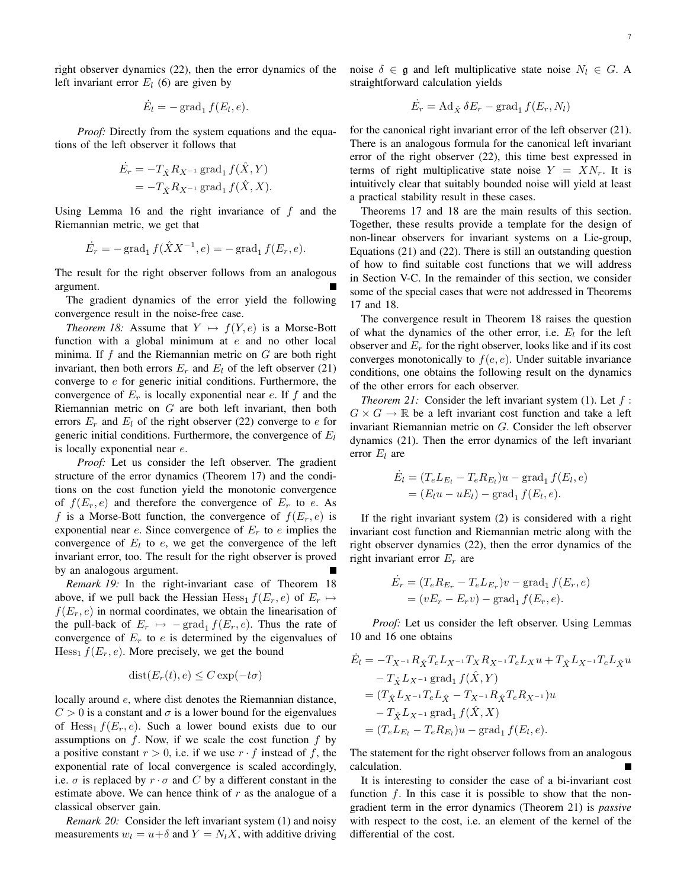right observer dynamics (22), then the error dynamics of the left invariant error  $E_l$  (6) are given by

$$
\dot{E}_l = -\operatorname{grad}_1 f(E_l, e).
$$

*Proof:* Directly from the system equations and the equations of the left observer it follows that

$$
\dot{E}_r = -T_{\hat{X}} R_{X^{-1}} \operatorname{grad}_1 f(\hat{X}, Y)
$$
  
= 
$$
-T_{\hat{X}} R_{X^{-1}} \operatorname{grad}_1 f(\hat{X}, X).
$$

Using Lemma 16 and the right invariance of  $f$  and the Riemannian metric, we get that

$$
\dot{E}_r = -\text{grad}_1 f(\hat{X}X^{-1}, e) = -\text{grad}_1 f(E_r, e).
$$

The result for the right observer follows from an analogous argument.

The gradient dynamics of the error yield the following convergence result in the noise-free case.

*Theorem 18:* Assume that  $Y \mapsto f(Y, e)$  is a Morse-Bott function with a global minimum at  $e$  and no other local minima. If f and the Riemannian metric on  $G$  are both right invariant, then both errors  $E_r$  and  $E_l$  of the left observer (21) converge to  $e$  for generic initial conditions. Furthermore, the convergence of  $E_r$  is locally exponential near e. If f and the Riemannian metric on  $G$  are both left invariant, then both errors  $E_r$  and  $E_l$  of the right observer (22) converge to e for generic initial conditions. Furthermore, the convergence of  $E_l$ is locally exponential near e.

*Proof:* Let us consider the left observer. The gradient structure of the error dynamics (Theorem 17) and the conditions on the cost function yield the monotonic convergence of  $f(E_r, e)$  and therefore the convergence of  $E_r$  to e. As f is a Morse-Bott function, the convergence of  $f(E_r, e)$  is exponential near  $e$ . Since convergence of  $E_r$  to  $e$  implies the convergence of  $E_l$  to  $e$ , we get the convergence of the left invariant error, too. The result for the right observer is proved by an analogous argument.

*Remark 19:* In the right-invariant case of Theorem 18 above, if we pull back the Hessian Hess<sub>1</sub>  $f(E_r, e)$  of  $E_r \mapsto$  $f(E_r, e)$  in normal coordinates, we obtain the linearisation of the pull-back of  $E_r \mapsto -\text{grad}_1 f(E_r, e)$ . Thus the rate of convergence of  $E_r$  to e is determined by the eigenvalues of  $Hess<sub>1</sub> f(E<sub>r</sub>, e)$ . More precisely, we get the bound

$$
dist(E_r(t), e) \le C \exp(-t\sigma)
$$

locally around  $e$ , where dist denotes the Riemannian distance,  $C > 0$  is a constant and  $\sigma$  is a lower bound for the eigenvalues of Hess<sub>1</sub>  $f(E_r, e)$ . Such a lower bound exists due to our assumptions on  $f$ . Now, if we scale the cost function  $f$  by a positive constant  $r > 0$ , i.e. if we use  $r \cdot f$  instead of f, the exponential rate of local convergence is scaled accordingly, i.e.  $\sigma$  is replaced by  $r \cdot \sigma$  and C by a different constant in the estimate above. We can hence think of  $r$  as the analogue of a classical observer gain.

*Remark 20:* Consider the left invariant system (1) and noisy measurements  $w_l = u + \delta$  and  $Y = N_l X$ , with additive driving noise  $\delta \in \mathfrak{g}$  and left multiplicative state noise  $N_l \in G$ . A straightforward calculation yields

$$
\dot{E_r} = \mathrm{Ad}_{\hat{X}} \, \delta E_r - \mathrm{grad}_1 \, f(E_r, N_l)
$$

for the canonical right invariant error of the left observer (21). There is an analogous formula for the canonical left invariant error of the right observer (22), this time best expressed in terms of right multiplicative state noise  $Y = X N_r$ . It is intuitively clear that suitably bounded noise will yield at least a practical stability result in these cases.

Theorems 17 and 18 are the main results of this section. Together, these results provide a template for the design of non-linear observers for invariant systems on a Lie-group, Equations (21) and (22). There is still an outstanding question of how to find suitable cost functions that we will address in Section V-C. In the remainder of this section, we consider some of the special cases that were not addressed in Theorems 17 and 18.

The convergence result in Theorem 18 raises the question of what the dynamics of the other error, i.e.  $E_l$  for the left observer and  $E_r$  for the right observer, looks like and if its cost converges monotonically to  $f(e, e)$ . Under suitable invariance conditions, one obtains the following result on the dynamics of the other errors for each observer.

*Theorem 21:* Consider the left invariant system  $(1)$ . Let  $f$ :  $G \times G \to \mathbb{R}$  be a left invariant cost function and take a left invariant Riemannian metric on G. Consider the left observer dynamics (21). Then the error dynamics of the left invariant error  $E_l$  are

$$
\dot{E}_l = (T_e L_{E_l} - T_e R_{E_l})u - \text{grad}_1 f(E_l, e)
$$

$$
= (E_l u - u E_l) - \text{grad}_1 f(E_l, e).
$$

If the right invariant system (2) is considered with a right invariant cost function and Riemannian metric along with the right observer dynamics (22), then the error dynamics of the right invariant error  $E_r$  are

$$
\dot{E}_r = (T_e R_{E_r} - T_e L_{E_r})v - \text{grad}_1 f(E_r, e)
$$

$$
= (vE_r - E_r v) - \text{grad}_1 f(E_r, e).
$$

*Proof:* Let us consider the left observer. Using Lemmas 10 and 16 one obtains

$$
\dot{E}_{l} = -T_{X^{-1}} R_{\hat{X}} T_{e} L_{X^{-1}} T_{X} R_{X^{-1}} T_{e} L_{X} u + T_{\hat{X}} L_{X^{-1}} T_{e} L_{\hat{X}} u \n- T_{\hat{X}} L_{X^{-1}} \text{grad}_{1} f(\hat{X}, Y) \n= (T_{\hat{X}} L_{X^{-1}} T_{e} L_{\hat{X}} - T_{X^{-1}} R_{\hat{X}} T_{e} R_{X^{-1}}) u \n- T_{\hat{X}} L_{X^{-1}} \text{grad}_{1} f(\hat{X}, X) \n= (T_{e} L_{E_{l}} - T_{e} R_{E_{l}}) u - \text{grad}_{1} f(E_{l}, e).
$$

The statement for the right observer follows from an analogous calculation.

It is interesting to consider the case of a bi-invariant cost function f. In this case it is possible to show that the nongradient term in the error dynamics (Theorem 21) is *passive* with respect to the cost, i.e. an element of the kernel of the differential of the cost.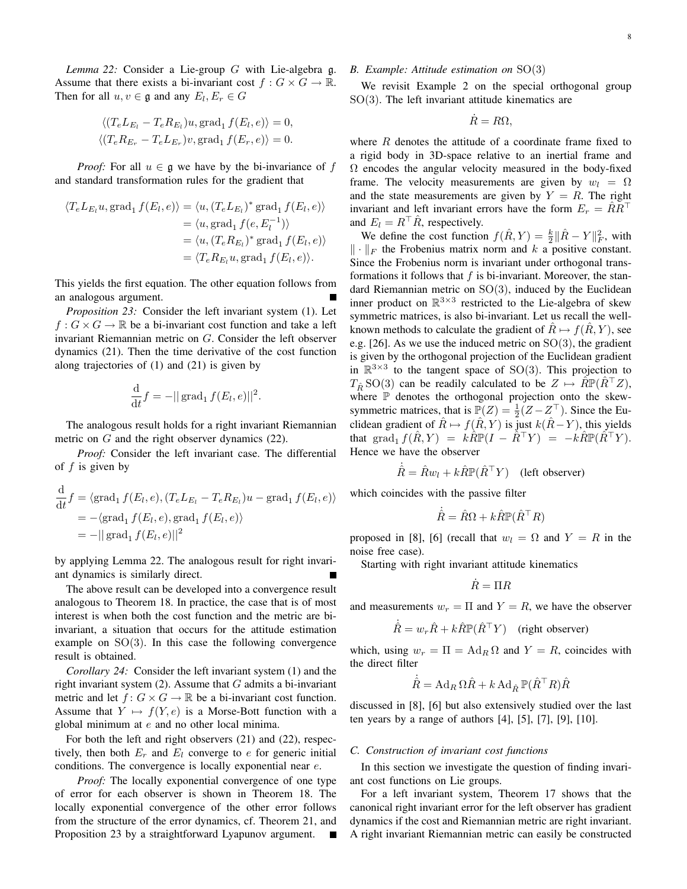*Lemma 22:* Consider a Lie-group G with Lie-algebra g. Assume that there exists a bi-invariant cost  $f: G \times G \to \mathbb{R}$ . Then for all  $u, v \in \mathfrak{g}$  and any  $E_l, E_r \in G$ 

$$
\langle (T_e L_{E_l} - T_e R_{E_l})u, \text{grad}_1 f(E_l, e) \rangle = 0,
$$
  

$$
\langle (T_e R_{E_r} - T_e L_{E_r})v, \text{grad}_1 f(E_r, e) \rangle = 0.
$$

*Proof:* For all  $u \in \mathfrak{g}$  we have by the bi-invariance of f and standard transformation rules for the gradient that

$$
\langle T_e L_{E_l} u, \text{grad}_1 f(E_l, e) \rangle = \langle u, (T_e L_{E_l})^* \text{grad}_1 f(E_l, e) \rangle
$$
  

$$
= \langle u, \text{grad}_1 f(e, E_l^{-1}) \rangle
$$
  

$$
= \langle u, (T_e R_{E_l})^* \text{grad}_1 f(E_l, e) \rangle
$$
  

$$
= \langle T_e R_{E_l} u, \text{grad}_1 f(E_l, e) \rangle.
$$

This yields the first equation. The other equation follows from an analogous argument.

*Proposition 23:* Consider the left invariant system (1). Let  $f: G \times G \to \mathbb{R}$  be a bi-invariant cost function and take a left invariant Riemannian metric on G. Consider the left observer dynamics (21). Then the time derivative of the cost function along trajectories of (1) and (21) is given by

$$
\frac{\mathrm{d}}{\mathrm{d}t}f = -||\operatorname{grad}_1 f(E_l, e)||^2.
$$

The analogous result holds for a right invariant Riemannian metric on G and the right observer dynamics (22).

*Proof:* Consider the left invariant case. The differential of  $f$  is given by

$$
\frac{\mathrm{d}}{\mathrm{d}t}f = \langle \mathrm{grad}_1 f(E_l, e), (T_e L_{E_l} - T_e R_{E_l})u - \mathrm{grad}_1 f(E_l, e) \rangle
$$
  
= -\langle \mathrm{grad}\_1 f(E\_l, e), \mathrm{grad}\_1 f(E\_l, e) \rangle  
= -|| \mathrm{grad}\_1 f(E\_l, e) ||^2

by applying Lemma 22. The analogous result for right invariant dynamics is similarly direct.

The above result can be developed into a convergence result analogous to Theorem 18. In practice, the case that is of most interest is when both the cost function and the metric are biinvariant, a situation that occurs for the attitude estimation example on  $SO(3)$ . In this case the following convergence result is obtained.

*Corollary 24:* Consider the left invariant system (1) and the right invariant system  $(2)$ . Assume that G admits a bi-invariant metric and let  $f: G \times G \to \mathbb{R}$  be a bi-invariant cost function. Assume that  $Y \mapsto f(Y, e)$  is a Morse-Bott function with a global minimum at e and no other local minima.

For both the left and right observers (21) and (22), respectively, then both  $E_r$  and  $E_l$  converge to e for generic initial conditions. The convergence is locally exponential near e.

*Proof:* The locally exponential convergence of one type of error for each observer is shown in Theorem 18. The locally exponential convergence of the other error follows from the structure of the error dynamics, cf. Theorem 21, and Proposition 23 by a straightforward Lyapunov argument.

# *B. Example: Attitude estimation on* SO(3)

We revisit Example 2 on the special orthogonal group  $SO(3)$ . The left invariant attitude kinematics are

$$
\dot{R} = R\Omega,
$$

where  $R$  denotes the attitude of a coordinate frame fixed to a rigid body in 3D-space relative to an inertial frame and  $\Omega$  encodes the angular velocity measured in the body-fixed frame. The velocity measurements are given by  $w_l = \Omega$ and the state measurements are given by  $Y = R$ . The right invariant and left invariant errors have the form  $E_r = \hat{R}R^{\top}$ and  $E_l = R^{\top} \hat{R}$ , respectively.

We define the cost function  $f(\hat{R}, Y) = \frac{k}{2} ||\hat{R} - Y||_F^2$ , with  $\|\cdot\|_F$  the Frobenius matrix norm and k a positive constant. Since the Frobenius norm is invariant under orthogonal transformations it follows that  $f$  is bi-invariant. Moreover, the standard Riemannian metric on  $SO(3)$ , induced by the Euclidean inner product on  $\mathbb{R}^{3\times3}$  restricted to the Lie-algebra of skew symmetric matrices, is also bi-invariant. Let us recall the wellknown methods to calculate the gradient of  $R \mapsto f(R, Y)$ , see e.g. [26]. As we use the induced metric on  $SO(3)$ , the gradient is given by the orthogonal projection of the Euclidean gradient in  $\mathbb{R}^{3\times3}$  to the tangent space of SO(3). This projection to  $T_{\hat{B}}$  SO(3) can be readily calculated to be  $Z \mapsto \hat{R} \mathbb{P}(\hat{R}^\top Z)$ , where  $P$  denotes the orthogonal projection onto the skewsymmetric matrices, that is  $\mathbb{P}(Z) = \frac{1}{2}(Z - Z^{\top})$ . Since the Euclidean gradient of  $\hat{R} \mapsto f(\hat{R}, Y)$  is just  $k(\hat{R} - Y)$ , this yields that grad<sub>1</sub>  $f(\tilde{R}, Y) = k\hat{R}\mathbb{P}(I - \hat{R}^{\top}Y) = -k\hat{R}\mathbb{P}(\hat{R}^{\top}Y)$ . Hence we have the observer

$$
\dot{\hat{R}} = \hat{R}w_l + k\hat{R}\mathbb{P}(\hat{R}^\top Y) \quad \text{(left observer)}
$$

which coincides with the passive filter

$$
\dot{\hat{R}} = \hat{R}\Omega + k\hat{R}\mathbb{P}(\hat{R}^\top R)
$$

proposed in [8], [6] (recall that  $w_l = \Omega$  and  $Y = R$  in the noise free case).

Starting with right invariant attitude kinematics

$$
\dot{R}=\Pi R
$$

and measurements  $w_r = \Pi$  and  $Y = R$ , we have the observer

$$
\dot{\hat{R}} = w_r \hat{R} + k \hat{R} \mathbb{P} (\hat{R}^\top Y) \text{ (right observer)}
$$

which, using  $w_r = \Pi = \text{Ad}_R \Omega$  and  $Y = R$ , coincides with the direct filter

$$
\dot{\hat{R}} = \operatorname{Ad}_R \Omega \hat{R} + k \operatorname{Ad}_{\hat{R}} \mathbb{P} (\hat{R}^\top R) \hat{R}
$$

discussed in [8], [6] but also extensively studied over the last ten years by a range of authors  $[4]$ ,  $[5]$ ,  $[7]$ ,  $[9]$ ,  $[10]$ .

#### *C. Construction of invariant cost functions*

In this section we investigate the question of finding invariant cost functions on Lie groups.

For a left invariant system, Theorem 17 shows that the canonical right invariant error for the left observer has gradient dynamics if the cost and Riemannian metric are right invariant. A right invariant Riemannian metric can easily be constructed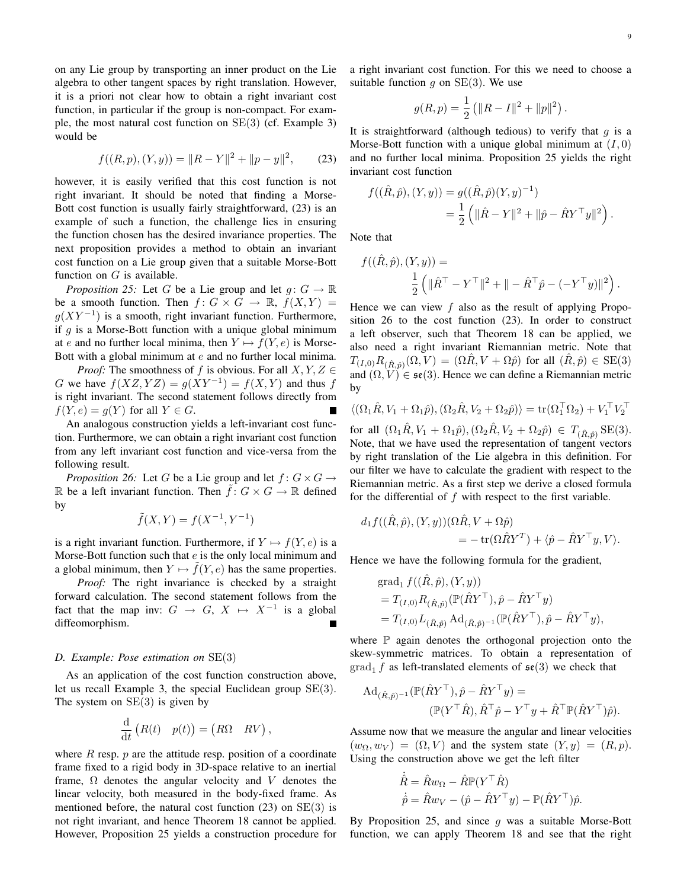on any Lie group by transporting an inner product on the Lie algebra to other tangent spaces by right translation. However, it is a priori not clear how to obtain a right invariant cost function, in particular if the group is non-compact. For example, the most natural cost function on SE(3) (cf. Example 3) would be

$$
f((R, p), (Y, y)) = ||R - Y||2 + ||p - y||2, \qquad (23)
$$

however, it is easily verified that this cost function is not right invariant. It should be noted that finding a Morse-Bott cost function is usually fairly straightforward, (23) is an example of such a function, the challenge lies in ensuring the function chosen has the desired invariance properties. The next proposition provides a method to obtain an invariant cost function on a Lie group given that a suitable Morse-Bott function on  $G$  is available.

*Proposition 25:* Let G be a Lie group and let  $g: G \to \mathbb{R}$ be a smooth function. Then  $f: G \times G \to \mathbb{R}$ ,  $f(X, Y) =$  $g(XY^{-1})$  is a smooth, right invariant function. Furthermore, if  $g$  is a Morse-Bott function with a unique global minimum at e and no further local minima, then  $Y \mapsto f(Y, e)$  is Morse-Bott with a global minimum at e and no further local minima.

*Proof:* The smoothness of f is obvious. For all  $X, Y, Z \in$ G we have  $f(XZ, YZ) = g(XY^{-1}) = f(X, Y)$  and thus f is right invariant. The second statement follows directly from  $f(Y, e) = g(Y)$  for all  $Y \in G$ .

An analogous construction yields a left-invariant cost function. Furthermore, we can obtain a right invariant cost function from any left invariant cost function and vice-versa from the following result.

*Proposition 26:* Let G be a Lie group and let  $f: G \times G \rightarrow$ R be a left invariant function. Then  $\tilde{f}: G \times G \to \mathbb{R}$  defined by

$$
\tilde{f}(X,Y) = f(X^{-1}, Y^{-1})
$$

is a right invariant function. Furthermore, if  $Y \mapsto f(Y, e)$  is a Morse-Bott function such that  $e$  is the only local minimum and a global minimum, then  $Y \mapsto f(Y, e)$  has the same properties.

*Proof:* The right invariance is checked by a straight forward calculation. The second statement follows from the fact that the map inv:  $G \rightarrow G, X \mapsto X^{-1}$  is a global diffeomorphism.

## *D. Example: Pose estimation on* SE(3)

As an application of the cost function construction above, let us recall Example 3, the special Euclidean group SE(3). The system on  $SE(3)$  is given by

$$
\frac{\mathrm{d}}{\mathrm{d}t}\left(R(t) \quad p(t)\right) = \begin{pmatrix} R\Omega & RV \end{pmatrix},\,
$$

where  $R$  resp.  $p$  are the attitude resp. position of a coordinate frame fixed to a rigid body in 3D-space relative to an inertial frame,  $\Omega$  denotes the angular velocity and V denotes the linear velocity, both measured in the body-fixed frame. As mentioned before, the natural cost function  $(23)$  on  $SE(3)$  is not right invariant, and hence Theorem 18 cannot be applied. However, Proposition 25 yields a construction procedure for a right invariant cost function. For this we need to choose a suitable function q on  $SE(3)$ . We use

$$
g(R, p) = \frac{1}{2} (||R - I||^{2} + ||p||^{2}).
$$

It is straightforward (although tedious) to verify that  $q$  is a Morse-Bott function with a unique global minimum at  $(I, 0)$ and no further local minima. Proposition 25 yields the right invariant cost function

$$
f((\hat{R}, \hat{p}), (Y, y)) = g((\hat{R}, \hat{p})(Y, y)^{-1})
$$
  
= 
$$
\frac{1}{2} (\|\hat{R} - Y\|^2 + \|\hat{p} - \hat{R}Y^{\top}y\|^2).
$$

Note that

$$
f((\hat{R}, \hat{p}), (Y, y)) =
$$
  

$$
\frac{1}{2} (\|\hat{R}^{\top} - Y^{\top}\|^2 + \| - \hat{R}^{\top}\hat{p} - (-Y^{\top}y)\|^2).
$$

Hence we can view  $f$  also as the result of applying Proposition 26 to the cost function (23). In order to construct a left observer, such that Theorem 18 can be applied, we also need a right invariant Riemannian metric. Note that  $T_{(I,0)}R_{(\hat{R},\hat{p})}(\Omega,V) = (\Omega \hat{R}, V + \Omega \hat{p})$  for all  $(\hat{R}, \hat{p}) \in \text{SE}(3)$ and  $(\Omega, V) \in \mathfrak{se}(3)$ . Hence we can define a Riemannian metric by

$$
\langle (\Omega_1 \hat{R}, V_1 + \Omega_1 \hat{p}), (\Omega_2 \hat{R}, V_2 + \Omega_2 \hat{p}) \rangle = \text{tr}(\Omega_1^\top \Omega_2) + V_1^\top V_2^\top
$$

for all  $(\Omega_1 \hat{R}, V_1 + \Omega_1 \hat{p}), (\Omega_2 \hat{R}, V_2 + \Omega_2 \hat{p}) \in T_{(\hat{R}, \hat{p})}$  SE(3). Note, that we have used the representation of tangent vectors by right translation of the Lie algebra in this definition. For our filter we have to calculate the gradient with respect to the Riemannian metric. As a first step we derive a closed formula for the differential of f with respect to the first variable.

$$
d_1 f((\hat{R}, \hat{p}), (Y, y))(\Omega \hat{R}, V + \Omega \hat{p})
$$
  
= 
$$
- \operatorname{tr}(\Omega \hat{R} Y^T) + \langle \hat{p} - \hat{R} Y^\top y, V \rangle.
$$

Hence we have the following formula for the gradient,

grad<sub>1</sub> 
$$
f((\hat{R}, \hat{p}), (Y, y))
$$
  
=  $T_{(I,0)}R_{(\hat{R}, \hat{p})}(\mathbb{P}(\hat{R}Y^{\top}), \hat{p} - \hat{R}Y^{\top}y)$   
=  $T_{(I,0)}L_{(\hat{R}, \hat{p})}Ad_{(\hat{R}, \hat{p})^{-1}}(\mathbb{P}(\hat{R}Y^{\top}), \hat{p} - \hat{R}Y^{\top}y),$ 

where  $\mathbb P$  again denotes the orthogonal projection onto the skew-symmetric matrices. To obtain a representation of  $\operatorname{grad}_1 f$  as left-translated elements of  $\mathfrak{se}(3)$  we check that

$$
\begin{aligned} \mathrm{Ad}_{(\hat{R},\hat{p})^{-1}}(\mathbb{P}(\hat{R}Y^{\top}),\hat{p}-\hat{R}Y^{\top}y) &= \\ (\mathbb{P}(Y^{\top}\hat{R}),\hat{R}^{\top}\hat{p}-Y^{\top}y+\hat{R}^{\top}\mathbb{P}(\hat{R}Y^{\top})\hat{p}). \end{aligned}
$$

Assume now that we measure the angular and linear velocities  $(w_{\Omega}, w_{V}) = (\Omega, V)$  and the system state  $(Y, y) = (R, p)$ . Using the construction above we get the left filter

$$
\dot{\hat{R}} = \hat{R}w_{\Omega} - \hat{R}\mathbb{P}(Y^{\top}\hat{R})
$$

$$
\dot{\hat{p}} = \hat{R}w_{V} - (\hat{p} - \hat{R}Y^{\top}y) - \mathbb{P}(\hat{R}Y^{\top})\hat{p}.
$$

By Proposition 25, and since  $q$  was a suitable Morse-Bott function, we can apply Theorem 18 and see that the right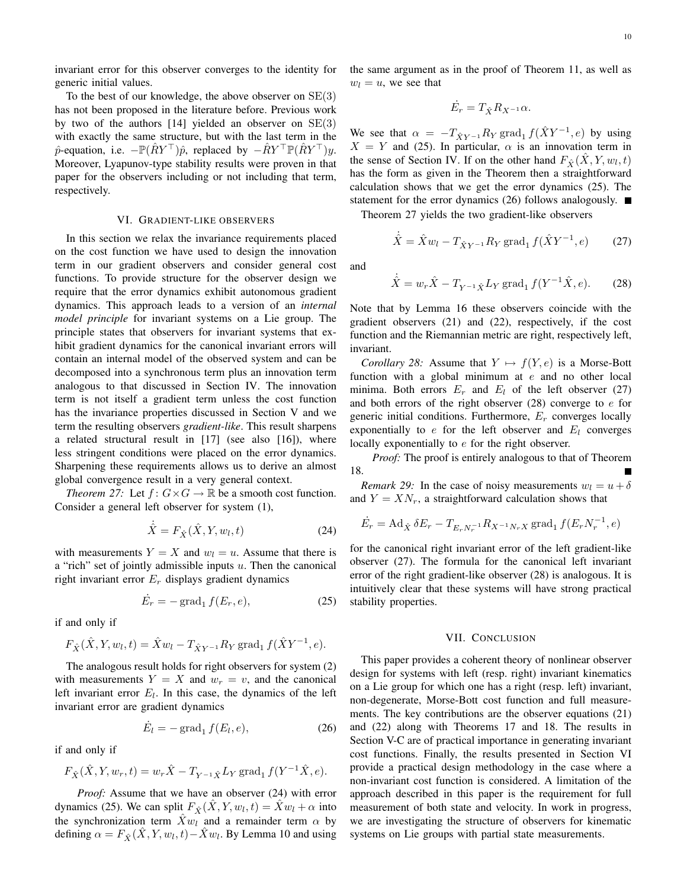invariant error for this observer converges to the identity for generic initial values.

To the best of our knowledge, the above observer on SE(3) has not been proposed in the literature before. Previous work by two of the authors  $[14]$  yielded an observer on  $SE(3)$ with exactly the same structure, but with the last term in the  $\hat{p}$ -equation, i.e.  $-\mathbb{P}(\hat{R}Y^{\top})\hat{p}$ , replaced by  $-\hat{R}Y^{\top}\mathbb{P}(\hat{R}Y^{\top})y$ . Moreover, Lyapunov-type stability results were proven in that paper for the observers including or not including that term, respectively.

## VI. GRADIENT-LIKE OBSERVERS

In this section we relax the invariance requirements placed on the cost function we have used to design the innovation term in our gradient observers and consider general cost functions. To provide structure for the observer design we require that the error dynamics exhibit autonomous gradient dynamics. This approach leads to a version of an *internal model principle* for invariant systems on a Lie group. The principle states that observers for invariant systems that exhibit gradient dynamics for the canonical invariant errors will contain an internal model of the observed system and can be decomposed into a synchronous term plus an innovation term analogous to that discussed in Section IV. The innovation term is not itself a gradient term unless the cost function has the invariance properties discussed in Section V and we term the resulting observers *gradient-like*. This result sharpens a related structural result in [17] (see also [16]), where less stringent conditions were placed on the error dynamics. Sharpening these requirements allows us to derive an almost global convergence result in a very general context.

*Theorem 27:* Let  $f: G \times G \to \mathbb{R}$  be a smooth cost function. Consider a general left observer for system (1),

$$
\dot{\hat{X}} = F_{\hat{X}}(\hat{X}, Y, w_l, t) \tag{24}
$$

with measurements  $Y = X$  and  $w_l = u$ . Assume that there is a "rich" set of jointly admissible inputs  $u$ . Then the canonical right invariant error  $E_r$  displays gradient dynamics

$$
\dot{E}_r = -\operatorname{grad}_1 f(E_r, e),\tag{25}
$$

if and only if

$$
F_{\hat{X}}(\hat{X}, Y, w_l, t) = \hat{X}w_l - T_{\hat{X}Y^{-1}}R_Y \operatorname{grad}_1 f(\hat{X}Y^{-1}, e).
$$

The analogous result holds for right observers for system (2) with measurements  $Y = X$  and  $w_r = v$ , and the canonical left invariant error  $E_l$ . In this case, the dynamics of the left invariant error are gradient dynamics

$$
\dot{E}_l = -\operatorname{grad}_1 f(E_l, e), \tag{26}
$$

if and only if

$$
F_{\hat{X}}(\hat{X}, Y, w_r, t) = w_r \hat{X} - T_{Y^{-1}\hat{X}} L_Y \operatorname{grad}_1 f(Y^{-1}\hat{X}, e).
$$

*Proof:* Assume that we have an observer (24) with error dynamics (25). We can split  $F_{\hat{X}}(\hat{X}, Y, w_l, t) = \hat{X}w_l + \alpha$  into the synchronization term  $\hat{X}w_l$  and a remainder term  $\alpha$  by defining  $\alpha = F_{\hat{X}}(\hat{X}, Y, w_l, t) - \hat{X}w_l$ . By Lemma 10 and using the same argument as in the proof of Theorem 11, as well as  $w_l = u$ , we see that

$$
\dot{E_r} = T_{\hat{X}} R_{X^{-1}} \alpha.
$$

We see that  $\alpha = -T_{\hat{X}Y^{-1}}R_Y \text{ grad}_1 f(\hat{X}Y^{-1}, e)$  by using  $X = Y$  and (25). In particular,  $\alpha$  is an innovation term in the sense of Section IV. If on the other hand  $F_{\hat{X}}(\hat{X}, Y, w_l, t)$ has the form as given in the Theorem then a straightforward calculation shows that we get the error dynamics (25). The statement for the error dynamics (26) follows analogously.  $\blacksquare$ 

Theorem 27 yields the two gradient-like observers

$$
\dot{\hat{X}} = \hat{X}w_l - T_{\hat{X}Y^{-1}}R_Y \operatorname{grad}_1 f(\hat{X}Y^{-1}, e) \tag{27}
$$

and

$$
\dot{\hat{X}} = w_r \hat{X} - T_{Y^{-1}\hat{X}} L_Y \operatorname{grad}_1 f(Y^{-1}\hat{X}, e).
$$
 (28)

Note that by Lemma 16 these observers coincide with the gradient observers (21) and (22), respectively, if the cost function and the Riemannian metric are right, respectively left, invariant.

*Corollary 28:* Assume that  $Y \mapsto f(Y, e)$  is a Morse-Bott function with a global minimum at  $e$  and no other local minima. Both errors  $E_r$  and  $E_l$  of the left observer (27) and both errors of the right observer  $(28)$  converge to  $e$  for generic initial conditions. Furthermore,  $E_r$  converges locally exponentially to  $e$  for the left observer and  $E_l$  converges locally exponentially to e for the right observer.

*Proof:* The proof is entirely analogous to that of Theorem 18.

*Remark 29:* In the case of noisy measurements  $w_l = u + \delta$ and  $Y = XN_r$ , a straightforward calculation shows that

$$
\dot{E}_r = \text{Ad}_{\hat{X}} \, \delta E_r - T_{E_r N_r^{-1}} R_{X^{-1} N_r X} \, \text{grad}_1 \, f(E_r N_r^{-1}, e)
$$

for the canonical right invariant error of the left gradient-like observer (27). The formula for the canonical left invariant error of the right gradient-like observer (28) is analogous. It is intuitively clear that these systems will have strong practical stability properties.

## VII. CONCLUSION

This paper provides a coherent theory of nonlinear observer design for systems with left (resp. right) invariant kinematics on a Lie group for which one has a right (resp. left) invariant, non-degenerate, Morse-Bott cost function and full measurements. The key contributions are the observer equations (21) and (22) along with Theorems 17 and 18. The results in Section V-C are of practical importance in generating invariant cost functions. Finally, the results presented in Section VI provide a practical design methodology in the case where a non-invariant cost function is considered. A limitation of the approach described in this paper is the requirement for full measurement of both state and velocity. In work in progress, we are investigating the structure of observers for kinematic systems on Lie groups with partial state measurements.